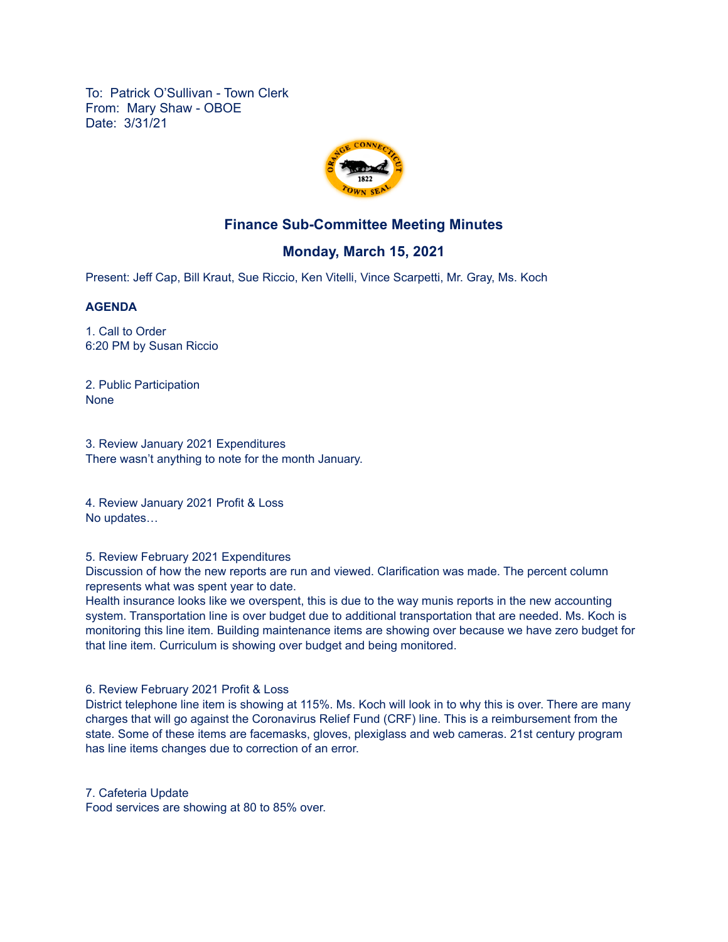To: Patrick O'Sullivan - Town Clerk From: Mary Shaw - OBOE Date: 3/31/21



# **Finance Sub-Committee Meeting Minutes**

## **Monday, March 15, 2021**

Present: Jeff Cap, Bill Kraut, Sue Riccio, Ken Vitelli, Vince Scarpetti, Mr. Gray, Ms. Koch

#### **AGENDA**

1. Call to Order 6:20 PM by Susan Riccio

2. Public Participation None

3. Review January 2021 Expenditures There wasn't anything to note for the month January.

4. Review January 2021 Profit & Loss No updates…

#### 5. Review February 2021 Expenditures

Discussion of how the new reports are run and viewed. Clarification was made. The percent column represents what was spent year to date.

Health insurance looks like we overspent, this is due to the way munis reports in the new accounting system. Transportation line is over budget due to additional transportation that are needed. Ms. Koch is monitoring this line item. Building maintenance items are showing over because we have zero budget for that line item. Curriculum is showing over budget and being monitored.

6. Review February 2021 Profit & Loss

District telephone line item is showing at 115%. Ms. Koch will look in to why this is over. There are many charges that will go against the Coronavirus Relief Fund (CRF) line. This is a reimbursement from the state. Some of these items are facemasks, gloves, plexiglass and web cameras. 21st century program has line items changes due to correction of an error.

7. Cafeteria Update

Food services are showing at 80 to 85% over.